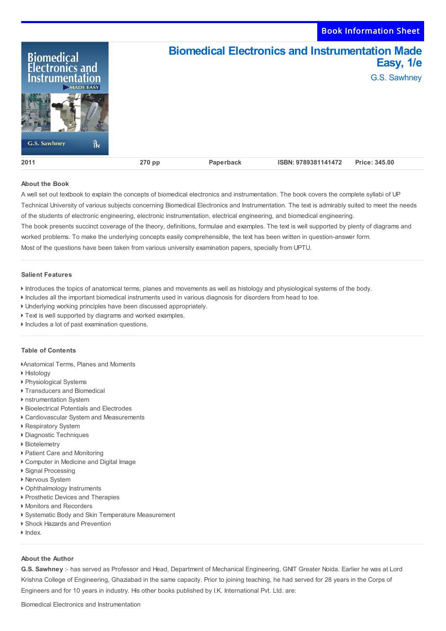Book Information Sheet

| Biomedical<br>Electronics and<br><b>Instrumentation</b><br>MADE EASY<br>ौर<br><b>G.S. Sawhney</b> |        | <b>Biomedical Electronics and Instrumentation Made</b> |                     | Easy, 1/e<br>G.S. Sawhney |
|---------------------------------------------------------------------------------------------------|--------|--------------------------------------------------------|---------------------|---------------------------|
| 2011                                                                                              | 270 pp | Paperback                                              | ISBN: 9789381141472 | Price: 345.00             |

## **About the Book**

A well set out textbook to explain the concepts of biomedical electronics and instrumentation. The book covers the complete syllabi of UP Technical University of various subjects concerning Biomedical Electronics and Instrumentation. The text is admirably suited to meet the needs of the students of electronic engineering, electronic instrumentation, electrical engineering, and biomedical engineering. The book presents succinct coverage of the theory, definitions, formulae and examples. The text is well supported by plenty of diagrams and worked problems. To make the underlying concepts easily comprehensible, the text has been written in question-answer form. Most of the questions have been taken from various university examination papers, specially from UPTU.

## **Salient Features**

- Introduces the topics of anatomical terms, planes and movements as well as histology and physiological systems of the body.
- Includes all the important biomedical instruments used in various diagnosis for disorders from head to toe.
- Underlying working principles have been discussed appropriately.
- Text is well supported by diagrams and worked examples.
- Includes a lot of past examination questions.

## **Table of Contents**

- Anatomical Terms, Planes and Moments
- ▶ Histology
- ▶ Physiological Systems
- Transducers and Biomedical
- nstrumentation System
- ▶ Bioelectrical Potentials and Electrodes
- Cardiovascular System and Measurements
- Respiratory System
- Diagnostic Techniques
- ▶ Biotelemetry
- Patient Care and Monitoring
- Computer in Medicine and Digital Image
- Signal Processing
- Nervous System
- Ophthalmology Instruments
- ▶ Prosthetic Devices and Therapies
- Monitors and Recorders
- Systematic Body and Skin Temperature Measurement
- Shock Hazards and Prevention
- $\blacktriangleright$  Index.

## **About the Author**

**G.S. Sawhney** :- has served as Professor and Head, Department of Mechanical Engineering, GNIT Greater Noida. Earlier he was at Lord Krishna College of Engineering, Ghaziabad in the same capacity. Prior to joining teaching, he had served for 28 years in the Corps of Engineers and for 10 years in industry. His other books published by I.K. International Pvt. Ltd. are:

Biomedical Electronics and Instrumentation